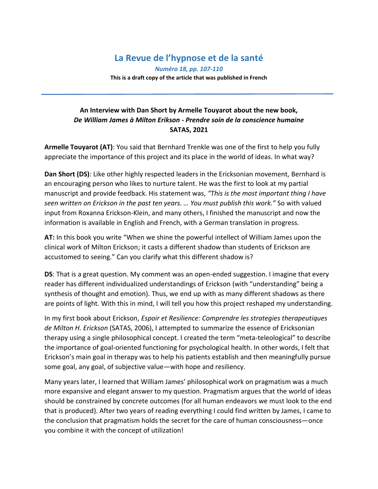## **La Revue de l'hypnose et de la santé**

*Numéro 18, pp. 107-110* **This is a draft copy of the article that was published in French**

## **An Interview with Dan Short by Armelle Touyarot about the new book,**  *De William James à Milton Erikson - Prendre soin de la conscience humaine* **SATAS, 2021**

**Armelle Touyarot (AT)**: You said that Bernhard Trenkle was one of the first to help you fully appreciate the importance of this project and its place in the world of ideas. In what way?

**Dan Short (DS)**: Like other highly respected leaders in the Ericksonian movement, Bernhard is an encouraging person who likes to nurture talent. He was the first to look at my partial manuscript and provide feedback. His statement was, *"This is the most important thing I have seen written on Erickson in the past ten years. … You must publish this work."* So with valued input from Roxanna Erickson-Klein, and many others, I finished the manuscript and now the information is available in English and French, with a German translation in progress.

**AT:** In this book you write "When we shine the powerful intellect of William James upon the clinical work of Milton Erickson; it casts a different shadow than students of Erickson are accustomed to seeing." Can you clarify what this different shadow is?

**DS**: That is a great question. My comment was an open-ended suggestion. I imagine that every reader has different individualized understandings of Erickson (with "understanding" being a synthesis of thought and emotion). Thus, we end up with as many different shadows as there are points of light. With this in mind, I will tell you how this project reshaped my understanding.

In my first book about Erickson, *Espoir et Resilience: Comprendre les strategies therapeutiques de Milton H. Erickson* (SATAS, 2006), I attempted to summarize the essence of Ericksonian therapy using a single philosophical concept. I created the term "meta-teleological" to describe the importance of goal-oriented functioning for psychological health. In other words, I felt that Erickson's main goal in therapy was to help his patients establish and then meaningfully pursue some goal, any goal, of subjective value—with hope and resiliency.

Many years later, I learned that William James' philosophical work on pragmatism was a much more expansive and elegant answer to my question. Pragmatism argues that the world of ideas should be constrained by concrete outcomes (for all human endeavors we must look to the end that is produced). After two years of reading everything I could find written by James, I came to the conclusion that pragmatism holds the secret for the care of human consciousness—once you combine it with the concept of utilization!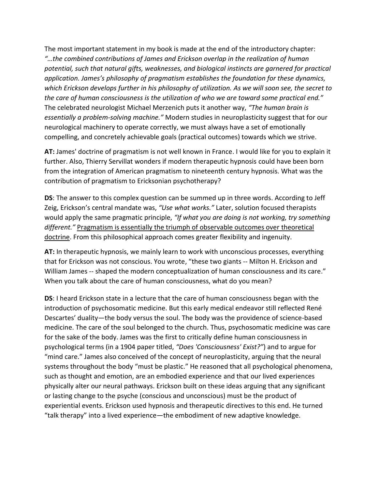The most important statement in my book is made at the end of the introductory chapter: *"…the combined contributions of James and Erickson overlap in the realization of human potential, such that natural gifts, weaknesses, and biological instincts are garnered for practical application. James's philosophy of pragmatism establishes the foundation for these dynamics, which Erickson develops further in his philosophy of utilization. As we will soon see, the secret to the care of human consciousness is the utilization of who we are toward some practical end."* The celebrated neurologist Michael Merzenich puts it another way, *"The human brain is essentially a problem-solving machine."* Modern studies in neuroplasticity suggest that for our neurological machinery to operate correctly, we must always have a set of emotionally compelling, and concretely achievable goals (practical outcomes) towards which we strive.

**AT:** James' doctrine of pragmatism is not well known in France. I would like for you to explain it further. Also, Thierry Servillat wonders if modern therapeutic hypnosis could have been born from the integration of American pragmatism to nineteenth century hypnosis. What was the contribution of pragmatism to Ericksonian psychotherapy?

**DS**: The answer to this complex question can be summed up in three words. According to Jeff Zeig, Erickson's central mandate was, *"Use what works."* Later, solution focused therapists would apply the same pragmatic principle, *"If what you are doing is not working, try something different."* Pragmatism is essentially the triumph of observable outcomes over theoretical doctrine. From this philosophical approach comes greater flexibility and ingenuity.

**AT:** In therapeutic hypnosis, we mainly learn to work with unconscious processes, everything that for Erickson was not conscious. You wrote, "these two giants -- Milton H. Erickson and William James -- shaped the modern conceptualization of human consciousness and its care." When you talk about the care of human consciousness, what do you mean?

**DS**: I heard Erickson state in a lecture that the care of human consciousness began with the introduction of psychosomatic medicine. But this early medical endeavor still reflected René Descartes' duality—the body versus the soul. The body was the providence of science-based medicine. The care of the soul belonged to the church. Thus, psychosomatic medicine was care for the sake of the body. James was the first to critically define human consciousness in psychological terms (in a 1904 paper titled, *"Does 'Consciousness' Exist?"*) and to argue for "mind care." James also conceived of the concept of neuroplasticity, arguing that the neural systems throughout the body "must be plastic." He reasoned that all psychological phenomena, such as thought and emotion, are an embodied experience and that our lived experiences physically alter our neural pathways. Erickson built on these ideas arguing that any significant or lasting change to the psyche (conscious and unconscious) must be the product of experiential events. Erickson used hypnosis and therapeutic directives to this end. He turned "talk therapy" into a lived experience—the embodiment of new adaptive knowledge.